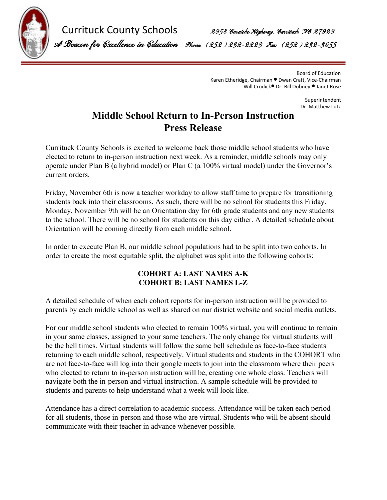

Currituck County Schools 2958 Caratoke Highway, Currituck, NO 27929

A Beacon for Excel ence in Education Phone: (252) 232-2223 Fax: (252) 232-3655

Board of Education Karen Etheridge, Chairman ⚫ Dwan Craft, Vice-Chairman Will Crodick⚫ Dr. Bill Dobney ⚫ Janet Rose

> Superintendent Dr. Matthew Lutz

## **Middle School Return to In-Person Instruction Press Release**

Currituck County Schools is excited to welcome back those middle school students who have elected to return to in-person instruction next week. As a reminder, middle schools may only operate under Plan B (a hybrid model) or Plan C (a 100% virtual model) under the Governor's current orders.

Friday, November 6th is now a teacher workday to allow staff time to prepare for transitioning students back into their classrooms. As such, there will be no school for students this Friday. Monday, November 9th will be an Orientation day for 6th grade students and any new students to the school. There will be no school for students on this day either. A detailed schedule about Orientation will be coming directly from each middle school.

In order to execute Plan B, our middle school populations had to be split into two cohorts. In order to create the most equitable split, the alphabet was split into the following cohorts:

## **COHORT A: LAST NAMES A-K COHORT B: LAST NAMES L-Z**

A detailed schedule of when each cohort reports for in-person instruction will be provided to parents by each middle school as well as shared on our district website and social media outlets.

For our middle school students who elected to remain 100% virtual, you will continue to remain in your same classes, assigned to your same teachers. The only change for virtual students will be the bell times. Virtual students will follow the same bell schedule as face-to-face students returning to each middle school, respectively. Virtual students and students in the COHORT who are not face-to-face will log into their google meets to join into the classroom where their peers who elected to return to in-person instruction will be, creating one whole class. Teachers will navigate both the in-person and virtual instruction. A sample schedule will be provided to students and parents to help understand what a week will look like.

Attendance has a direct correlation to academic success. Attendance will be taken each period for all students, those in-person and those who are virtual. Students who will be absent should communicate with their teacher in advance whenever possible.